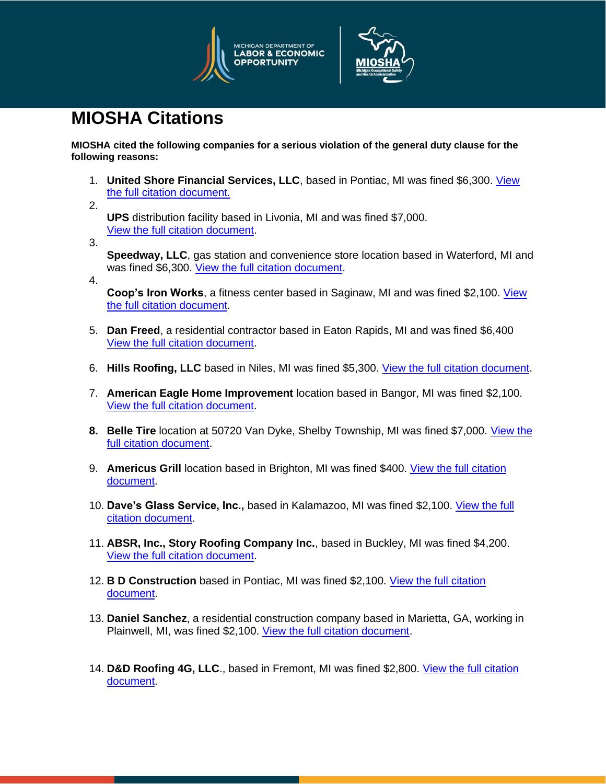



## **MIOSHA Citations**

**MIOSHA cited the following companies for a serious violation of the general duty clause for the following reasons:** 

- 1. **United Shore Financial Services, LLC**, based in Pontiac, MI was fined \$6,300. [View](https://www.michigan.gov/documents/leo/United_Shore_Financial_Services_LLC_700462_7.pdf)  [the full citation document.](https://www.michigan.gov/documents/leo/United_Shore_Financial_Services_LLC_700462_7.pdf)
- 2. **UPS** distribution facility based in Livonia, MI and was fined \$7,000. [View the full citation document.](https://www.michigan.gov/documents/leo/UPS_700463_7.pdf)
- 3.

**Speedway, LLC**, gas station and convenience store location based in Waterford, MI and was fined \$6,300. [View the full citation document.](https://www.michigan.gov/documents/leo/Speedway_LLC_700464_7.pdf)

- 4.
- **Coop's Iron Works**, a fitness center based in Saginaw, MI and was fined \$2,100. View [the full citation document.](https://www.michigan.gov/documents/leo/Coops_Gym_700466_7.pdf)
- 5. **Dan Freed**, a residential contractor based in Eaton Rapids, MI and was fined \$6,400 [View the full citation document.](https://www.michigan.gov/documents/leo/Dan_Freed_700467_7.pdf)
- 6. **Hills Roofing, LLC** based in Niles, MI was fined \$5,300. [View the full citation document.](https://www.michigan.gov/documents/leo/Hills_Roofing_700469_7.pdf)
- 7. **American Eagle Home Improvement** location based in Bangor, MI was fined \$2,100. [View the full citation document.](https://www.michigan.gov/documents/leo/American_Eagle_Home_Improvement_702404_7.pdf)
- **8. Belle Tire** location at 50720 Van Dyke, Shelby Township, MI was fined \$7,000. [View the](https://www.michigan.gov/documents/leo/Belle_Tire_702407_7.pdf)  [full citation document.](https://www.michigan.gov/documents/leo/Belle_Tire_702407_7.pdf)
- 9. **Americus Grill** location based in Brighton, MI was fined \$400. [View the full citation](https://www.michigan.gov/documents/leo/Americus_Grill_702405_7.pdf)  [document.](https://www.michigan.gov/documents/leo/Americus_Grill_702405_7.pdf)
- 10. **Dave's Glass Service, Inc.,** based in Kalamazoo, MI was fined \$2,100. [View the full](https://www.michigan.gov/documents/leo/Daves_Glass_Services_Inc._702409_7.pdf)  [citation document.](https://www.michigan.gov/documents/leo/Daves_Glass_Services_Inc._702409_7.pdf)
- 11. **ABSR, Inc., Story Roofing Company Inc.**, based in Buckley, MI was fined \$4,200. [View the full citation document.](https://www.michigan.gov/documents/leo/ABSR_Inc._Story_Roofing_Company_Inc._702403_7.pdf)
- 12. **B D Construction** based in Pontiac, MI was fined \$2,100. [View the full citation](https://www.michigan.gov/documents/leo/BD_Construction_702406_7.pdf)  [document.](https://www.michigan.gov/documents/leo/BD_Construction_702406_7.pdf)
- 13. **Daniel Sanchez**, a residential construction company based in Marietta, GA, working in Plainwell, MI, was fined \$2,100. [View the full citation document.](https://www.michigan.gov/documents/leo/Daniel_Sanchez_702408_7.pdf)
- 14. **D&D Roofing 4G, LLC**., based in Fremont, MI was fined \$2,800. [View the full citation](https://www.michigan.gov/documents/leo/DD_Roofing_4G_LLC_702410_7.pdf)  [document.](https://www.michigan.gov/documents/leo/DD_Roofing_4G_LLC_702410_7.pdf)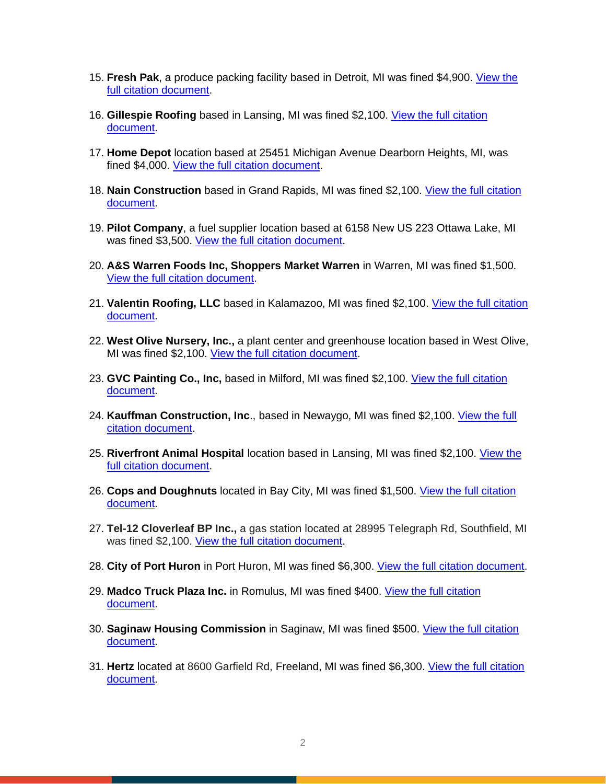- 15. Fresh Pak, a produce packing facility based in Detroit, MI was fined \$4,900. View the [full citation document.](https://www.michigan.gov/documents/leo/Fresh_Pak_702412_7.pdf)
- 16. **Gillespie Roofing** based in Lansing, MI was fined \$2,100. [View the full citation](https://www.michigan.gov/documents/leo/Gillespie_Roofing_702413_7.pdf)  [document.](https://www.michigan.gov/documents/leo/Gillespie_Roofing_702413_7.pdf)
- 17. **Home Depot** location based at 25451 Michigan Avenue Dearborn Heights, MI, was fined \$4,000. [View the full citation document.](https://www.michigan.gov/documents/leo/Home_Depot_-_Dearborn_702418_7.pdf)
- 18. **Nain Construction** based in Grand Rapids, MI was fined \$2,100. [View the full citation](https://www.michigan.gov/documents/leo/Nain_Construction_702420_7.pdf)  [document.](https://www.michigan.gov/documents/leo/Nain_Construction_702420_7.pdf)
- 19. **Pilot Company**, a fuel supplier location based at 6158 New US 223 Ottawa Lake, MI was fined \$3,500. [View the full citation document.](https://www.michigan.gov/documents/leo/Pilot_Company_702424_7.pdf)
- 20. **A&S Warren Foods Inc, Shoppers Market Warren** in Warren, MI was fined \$1,500. [View the full citation document.](https://www.michigan.gov/documents/leo/A__S_Warren_Foods_Inc_Shoppers_Market_Warren_702402_7.pdf)
- 21. **Valentin Roofing, LLC** based in Kalamazoo, MI was fined \$2,100. [View the full citation](https://www.michigan.gov/documents/leo/Valentin_Roofing_702422_7.pdf)  [document.](https://www.michigan.gov/documents/leo/Valentin_Roofing_702422_7.pdf)
- 22. **West Olive Nursery, Inc.,** a plant center and greenhouse location based in West Olive, MI was fined \$2,100. [View the full citation document.](https://www.michigan.gov/documents/leo/West_Olive_Nursery_Inc._702423_7.pdf)
- 23. **GVC Painting Co., Inc,** based in Milford, MI was fined \$2,100. [View the full citation](https://www.michigan.gov/documents/leo/GVC_Painting_Co._Inc._702415_7.pdf)  [document.](https://www.michigan.gov/documents/leo/GVC_Painting_Co._Inc._702415_7.pdf)
- 24. **Kauffman Construction, Inc**., based in Newaygo, MI was fined \$2,100. [View the full](https://www.michigan.gov/documents/leo/Kauffman_Construction_Inc_702419_7.pdf)  [citation document.](https://www.michigan.gov/documents/leo/Kauffman_Construction_Inc_702419_7.pdf)
- 25. **Riverfront Animal Hospital** location based in Lansing, MI was fined \$2,100. [View the](https://www.michigan.gov/documents/leo/Riverfront_Animal_Hospital_702421_7.pdf)  [full citation document.](https://www.michigan.gov/documents/leo/Riverfront_Animal_Hospital_702421_7.pdf)
- 26. **Cops and Doughnuts** located in Bay City, MI was fined \$1,500. [View the full citation](https://www.michigan.gov/documents/leo/Citations_Cops_and_Doughnuts_703807_7.pdf)  [document.](https://www.michigan.gov/documents/leo/Citations_Cops_and_Doughnuts_703807_7.pdf)
- 27. **Tel-12 Cloverleaf BP Inc.,** a gas station located at 28995 Telegraph Rd, Southfield, MI was fined \$2,100. [View the full citation document.](https://www.michigan.gov/documents/leo/Citation_-_Tel_12_Cloverleaf_BP_Inc_703808_7.pdf)
- 28. **City of Port Huron** in Port Huron, MI was fined \$6,300. [View the full citation document.](https://www.michigan.gov/documents/leo/Draft_Citations_City_of_Port_Huron_703814_7.pdf)
- 29. **Madco Truck Plaza Inc.** in Romulus, MI was fined \$400. [View the full citation](https://www.michigan.gov/documents/leo/Draft_Citation_Madco_Truck_Plaza_703815_7.pdf)  [document.](https://www.michigan.gov/documents/leo/Draft_Citation_Madco_Truck_Plaza_703815_7.pdf)
- 30. **Saginaw Housing Commission** in Saginaw, MI was fined \$500. [View the full citation](https://www.michigan.gov/documents/leo/citations-Saginaw_Housing_Commission-1483112_703816_7.pdf)  [document.](https://www.michigan.gov/documents/leo/citations-Saginaw_Housing_Commission-1483112_703816_7.pdf)
- 31. **Hertz** located at 8600 Garfield Rd, Freeland, MI was fined \$6,300. [View the full citation](https://www.michigan.gov/documents/leo/Citations_Hertz_703817_7.pdf)  [document.](https://www.michigan.gov/documents/leo/Citations_Hertz_703817_7.pdf)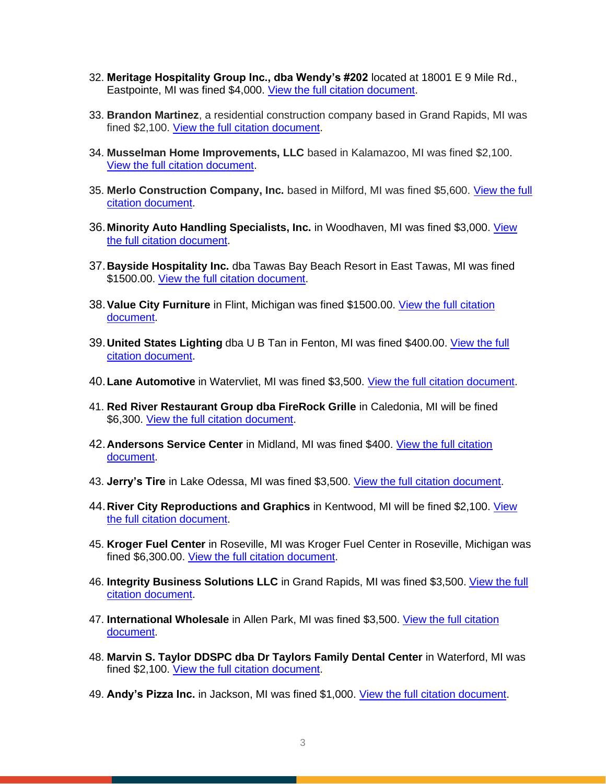- 32. **Meritage Hospitality Group Inc., dba Wendy's #202** located at 18001 E 9 Mile Rd., Eastpointe, MI was fined \$4,000. [View the full citation document.](https://www.michigan.gov/documents/leo/Citation_-_Wendys_703823_7.pdf)
- 33. **Brandon Martinez**, a residential construction company based in Grand Rapids, MI was fined \$2,100. [View the full citation document.](https://www.michigan.gov/documents/leo/Draft_Citation_-_Brandon_Martinez_-_1485278_703824_7.pdf)
- 34. **Musselman Home Improvements, LLC** based in Kalamazoo, MI was fined \$2,100. [View the full citation document.](https://www.michigan.gov/documents/leo/Draft_Citation_-_Musselman_Home_Improvements_LLC_-_1484599_703826_7.pdf)
- 35. **Merlo Construction Company, Inc.** based in Milford, MI was fined \$5,600. [View the full](https://www.michigan.gov/documents/leo/Draft_Citation_-_Merlo_Construction_Company_Inc._-_1483556_703827_7.pdf)  [citation document.](https://www.michigan.gov/documents/leo/Draft_Citation_-_Merlo_Construction_Company_Inc._-_1483556_703827_7.pdf)
- 36.**Minority Auto Handling Specialists, Inc.** in Woodhaven, MI was fined \$3,000. [View](https://www.michigan.gov/documents/leo/Minority_Auto_Handling_Specialists_-_citation_709521_7.pdf)  [the full citation document.](https://www.michigan.gov/documents/leo/Minority_Auto_Handling_Specialists_-_citation_709521_7.pdf)
- 37.**Bayside Hospitality Inc.** dba Tawas Bay Beach Resort in East Tawas, MI was fined \$1500.00. [View the full citation document.](https://www.michigan.gov/documents/leo/Bayside_Hospitality_-_citations_709518_7.pdf)
- 38.**Value City Furniture** in Flint, Michigan was fined \$1500.00. [View the full citation](https://www.michigan.gov/documents/leo/Value_City_Furniture_-_Citation_709527_7.pdf)  [document.](https://www.michigan.gov/documents/leo/Value_City_Furniture_-_Citation_709527_7.pdf)
- 39.**United States Lighting** dba U B Tan in Fenton, MI was fined \$400.00. [View the full](https://www.michigan.gov/documents/leo/United_States_Lighting_Corp_-_citation_709526_7.pdf)  [citation document.](https://www.michigan.gov/documents/leo/United_States_Lighting_Corp_-_citation_709526_7.pdf)
- 40.**Lane Automotive** in Watervliet, MI was fined \$3,500. [View the full citation document.](https://www.michigan.gov/documents/leo/Lane_automotive_-_citation_709520_7.pdf)
- 41. **Red River Restaurant Group dba FireRock Grille** in Caledonia, MI will be fined \$6,300. [View the full citation document.](https://www.michigan.gov/documents/leo/Red_River_Restaurant_Group_-_citation_709524_7.pdf)
- 42.**Andersons Service Center** in Midland, MI was fined \$400. [View the full citation](https://www.michigan.gov/documents/leo/Anderson_Service_Center_-_citation_709517_7.pdf)  [document.](https://www.michigan.gov/documents/leo/Anderson_Service_Center_-_citation_709517_7.pdf)
- 43. **Jerry's Tire** in Lake Odessa, MI was fined \$3,500. [View the full citation document.](https://www.michigan.gov/documents/leo/Jerrys_Tire_-_citation_709519_7.pdf)
- 44.**River City Reproductions and Graphics** in Kentwood, MI will be fined \$2,100. [View](https://www.michigan.gov/documents/leo/River_City_Reproductions_-_citation_709525_7.pdf)  [the full citation document.](https://www.michigan.gov/documents/leo/River_City_Reproductions_-_citation_709525_7.pdf)
- 45. **Kroger Fuel Center** in Roseville, MI was Kroger Fuel Center in Roseville, Michigan was fined \$6,300.00. [View the full citation document.](https://www.michigan.gov/documents/leo/Citation_KrogerFuelCenter_711180_7.pdf)
- 46. **Integrity Business Solutions LLC** in Grand Rapids, MI was fined \$3,500. [View the full](https://www.michigan.gov/documents/leo/Citation_IntegrityBusinessSolutionsLLC_711181_7.pdf)  [citation document.](https://www.michigan.gov/documents/leo/Citation_IntegrityBusinessSolutionsLLC_711181_7.pdf)
- 47. **International Wholesale** in Allen Park, MI was fined \$3,500. [View the full citation](https://www.michigan.gov/documents/leo/Citation_InternationalWholesale_711182_7.pdf)  [document.](https://www.michigan.gov/documents/leo/Citation_InternationalWholesale_711182_7.pdf)
- 48. **Marvin S. Taylor DDSPC dba Dr Taylors Family Dental Center** in Waterford, MI was fined \$2,100. [View the full citation document.](https://www.michigan.gov/documents/leo/Citations_Dr_Taylors_Family_Dental_Center_711184_7.pdf)
- 49. **Andy's Pizza Inc.** in Jackson, MI was fined \$1,000. [View the full citation document.](https://www.michigan.gov/documents/leo/Citation_AndysPizzaInc_711197_7.pdf)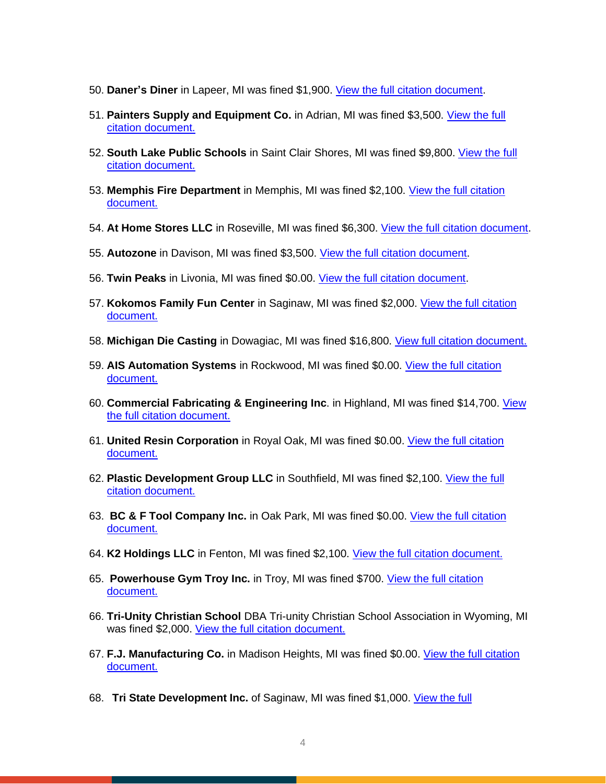- 50. **Daner's Diner** in Lapeer, MI was fined \$1,900. [View the full citation document.](https://www.michigan.gov/documents/leo/MIOSHAcitation_DanersDiner_712313_7.pdf)
- 51. **Painters Supply and Equipment Co.** in Adrian, MI was fined \$3,500. [View the full](https://www.michigan.gov/documents/leo/MIOSHAcitation_PaintersSupplyandEquipmentCo_712315_7.pdf)  [citation document.](https://www.michigan.gov/documents/leo/MIOSHAcitation_PaintersSupplyandEquipmentCo_712315_7.pdf)
- 52. **South Lake Public Schools** in Saint Clair Shores, MI was fined \$9,800. [View the full](https://www.michigan.gov/documents/leo/MIOSHAcitation_SouthLakePublicSchools_712316_7.pdf)  [citation document.](https://www.michigan.gov/documents/leo/MIOSHAcitation_SouthLakePublicSchools_712316_7.pdf)
- 53. **Memphis Fire Department** in Memphis, MI was fined \$2,100. [View the full citation](https://www.michigan.gov/documents/leo/MIOSHAcitation_MemphisFireDepartment_712317_7.pdf)  [document.](https://www.michigan.gov/documents/leo/MIOSHAcitation_MemphisFireDepartment_712317_7.pdf)
- 54. **At Home Stores LLC** in Roseville, MI was fined \$6,300. [View the full citation document.](https://www.michigan.gov/documents/leo/MIOSHAcitation_AtHomeStoresLLC_712318_7.pdf)
- 55. **Autozone** in Davison, MI was fined \$3,500. [View the full citation document.](https://www.michigan.gov/documents/leo/MIOSHAcitation_Autozone_712319_7.pdf)
- 56. **Twin Peaks** in Livonia, MI was fined \$0.00. [View the full citation document.](https://www.michigan.gov/documents/leo/MIOSHAcitation_TwinPeaks_712320_7.pdf)
- 57. **Kokomos Family Fun Center** in Saginaw, MI was fined \$2,000. [View the full citation](https://www.michigan.gov/documents/leo/MIOSHAcitation_KokomosFamilyFunCenter_712321_7.pdf)  [document.](https://www.michigan.gov/documents/leo/MIOSHAcitation_KokomosFamilyFunCenter_712321_7.pdf)
- 58. **Michigan Die Casting** in Dowagiac, MI was fined \$16,800. [View full citation document.](https://www.michigan.gov/documents/leo/MIOSHAcitation_MichiganDieCasting_713552_7.pdf)
- 59. **AIS Automation Systems** in Rockwood, MI was fined \$0.00. [View the full citation](https://www.michigan.gov/documents/leo/MIOSHAcitation_AISAutomationSystems_713555_7.pdf)  [document.](https://www.michigan.gov/documents/leo/MIOSHAcitation_AISAutomationSystems_713555_7.pdf)
- 60. **Commercial Fabricating & Engineering Inc**. in Highland, MI was fined \$14,700. [View](https://www.michigan.gov/documents/leo/MIOSHAcitation_CommercialFabricatingEngineering_713557_7.pdf)  [the full citation document.](https://www.michigan.gov/documents/leo/MIOSHAcitation_CommercialFabricatingEngineering_713557_7.pdf)
- 61. **United Resin Corporation** in Royal Oak, MI was fined \$0.00. [View the full citation](https://www.michigan.gov/documents/leo/MIOSHAcitation_UnitedResinCorporation_713558_7.pdf)  [document.](https://www.michigan.gov/documents/leo/MIOSHAcitation_UnitedResinCorporation_713558_7.pdf)
- 62. Plastic Development Group LLC in Southfield, MI was fined \$2,100. View the full [citation document.](https://www.michigan.gov/documents/leo/MIOSHAcitation_PlasticDevelopmentGroup_713559_7.pdf)
- 63. **BC & F Tool Company Inc.** in Oak Park, MI was fined \$0.00. [View the full citation](https://www.michigan.gov/documents/leo/MIOSHAcitation_BCFToolCompany_713560_7.pdf)  [document.](https://www.michigan.gov/documents/leo/MIOSHAcitation_BCFToolCompany_713560_7.pdf)
- 64. **K2 Holdings LLC** in Fenton, MI was fined \$2,100. [View the full citation document.](https://www.michigan.gov/documents/leo/MIOSHAcitation_K2Holdings_713561_7.pdf)
- 65. **Powerhouse Gym Troy Inc.** in Troy, MI was fined \$700. [View the full citation](https://www.michigan.gov/documents/leo/MIOSHAcitation_PowerhouseGymTroy_713562_7.pdf)  [document.](https://www.michigan.gov/documents/leo/MIOSHAcitation_PowerhouseGymTroy_713562_7.pdf)
- 66. **Tri-Unity Christian School** DBA Tri-unity Christian School Association in Wyoming, MI was fined \$2,000. [View the full citation document.](https://www.michigan.gov/documents/leo/MIOSHAcitation_TriUnityChristianSchool_713563_7.pdf)
- 67. **F.J. Manufacturing Co.** in Madison Heights, MI was fined \$0.00. [View the full citation](https://www.michigan.gov/documents/leo/MIOSHAcitation_FJManufacturing_713602_7.pdf)  [document.](https://www.michigan.gov/documents/leo/MIOSHAcitation_FJManufacturing_713602_7.pdf)
- 68. **Tri State [Development](https://www.michigan.gov/documents/leo/Final_-_1494527_-_Tri_State_Development_Inc_715313_7.pdf) Inc.** of Saginaw, MI was fined \$1,000. View the full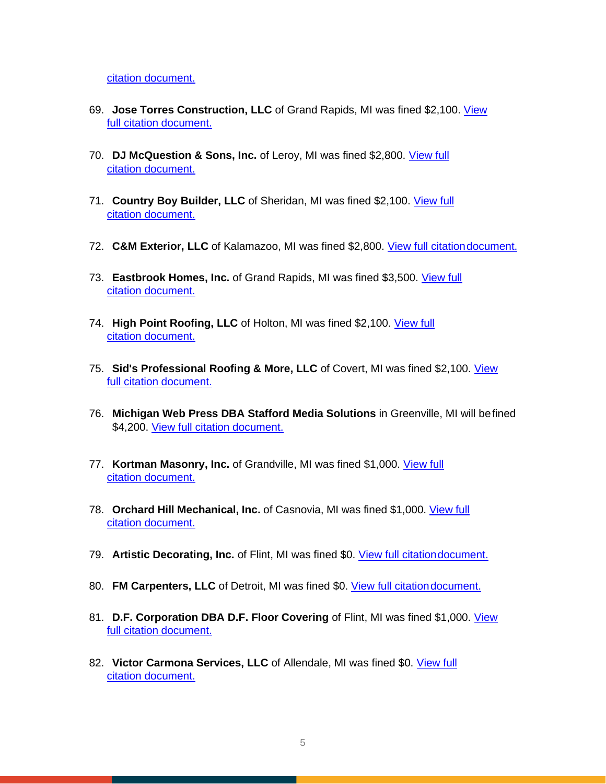[citation document.](https://www.michigan.gov/documents/leo/Final_-_1494527_-_Tri_State_Development_Inc_715313_7.pdf)

- 69. **Jose Torres Construction, LLC** [of Grand Rapids, MI was fined \\$2,100.](https://www.michigan.gov/documents/leo/Final_-_Jose_Torres_Construction_LLC_-_1494225_715315_7.pdf) View [full citation](https://www.michigan.gov/documents/leo/Final_-_Jose_Torres_Construction_LLC_-_1494225_715315_7.pdf) document.
- 70. **[DJ McQuestion & Sons, Inc.](https://www.michigan.gov/documents/leo/Final_-_1491473_D.J._McQuestion__Sons_Inc_715316_7.pdf)** of Leroy, MI was fined \$2,800. View full [citation document.](https://www.michigan.gov/documents/leo/Final_-_1491473_D.J._McQuestion__Sons_Inc_715316_7.pdf)
- 71. **Country Boy Builder, LLC** [of Sheridan, MI was fined \\$2,100.](https://www.michigan.gov/documents/leo/Final_-_1493384_-_Country_Boy_Builder_LLC_715327_7.pdf) View full [citation document.](https://www.michigan.gov/documents/leo/Final_-_1493384_-_Country_Boy_Builder_LLC_715327_7.pdf)
- 72. **C&M Exterior, LLC** of Kalamazoo, MI was fined \$2,800. [View full citationdocument.](https://www.michigan.gov/documents/leo/Final_-_1496594_-_CM_Exterior_LLC_715332_7.pdf)
- 73. Eastbrook Homes, Inc. [of Grand Rapids, MI was fined \\$3,500.](https://www.michigan.gov/documents/leo/Final_-_1495698_Eastbrook_Homes_715333_7.pdf) View full [citation document.](https://www.michigan.gov/documents/leo/Final_-_1495698_Eastbrook_Homes_715333_7.pdf)
- 74. **High Point Roofing, LLC** [of Holton, MI was fined \\$2,100.](https://www.michigan.gov/documents/leo/Final_-_1490869_-_High_Point_Roofing_LLC_715340_7.pdf) View full [citation document.](https://www.michigan.gov/documents/leo/Final_-_1490869_-_High_Point_Roofing_LLC_715340_7.pdf)
- 75. **[Sid's Professional Roofing & More, LLC](https://www.michigan.gov/documents/leo/Final_-_1494228_Sids_Professional_Roofing__More_LLC_715341_7.pdf)** of Covert, MI was fined \$2,100. View [full citation](https://www.michigan.gov/documents/leo/Final_-_1494228_Sids_Professional_Roofing__More_LLC_715341_7.pdf) document.
- 76. **Michigan Web Press DBA Stafford Media Solutions** in Greenville, MI will befined \$4,200. [View full citation document.](https://www.michigan.gov/documents/leo/MI_OSHA2_12282020090210_WebPress_715345_7.pdf)
- 77. **Kortman Masonry, Inc.** [of Grandville, MI was fined \\$1,000.](https://www.michigan.gov/documents/leo/Final_-_Kortman_Masonry_Inc._-_1500321_-_Covid_Citation_715319_7.pdf) View full [citation document.](https://www.michigan.gov/documents/leo/Final_-_Kortman_Masonry_Inc._-_1500321_-_Covid_Citation_715319_7.pdf)
- 78. **Orchard Hill [Mechanical,](https://www.michigan.gov/documents/leo/Final_-_Orchard_Hill_Mechanical_Inc._-_1501653_-_Covid_Citation_715322_7.pdf) Inc.** of Casnovia, MI was fined \$1,000. View full [citation document.](https://www.michigan.gov/documents/leo/Final_-_Orchard_Hill_Mechanical_Inc._-_1501653_-_Covid_Citation_715322_7.pdf)
- 79. **Artistic Decorating, Inc.** of Flint, MI was fined \$0. [View full citationdocument.](https://www.michigan.gov/documents/leo/Final_-_Artistic_Decorating_Inc._-_1499528_-_Covid_Citation_715323_7.pdf)
- 80. **FM Carpenters, LLC** of Detroit, MI was fined \$0. View full citation document.
- 81. **[D.F. Corporation DBA D.F. Floor Covering](https://www.michigan.gov/documents/leo/Final_-_D.F._Corporation_DBA_D.F._Floor_Covering_-_1502732_-_Covid_Citation_715335_7.pdf)** of Flint, MI was fined \$1,000. View [full citation](https://www.michigan.gov/documents/leo/Final_-_D.F._Corporation_DBA_D.F._Floor_Covering_-_1502732_-_Covid_Citation_715335_7.pdf) document.
- 82. **[Victor Carmona Services, LLC](https://www.michigan.gov/documents/leo/Final_-_Victor_Carmona_Services_LLC_-_1502725_-_Covid__Citation_715337_7.pdf)** of Allendale, MI was fined \$0. View full [citation document.](https://www.michigan.gov/documents/leo/Final_-_Victor_Carmona_Services_LLC_-_1502725_-_Covid__Citation_715337_7.pdf)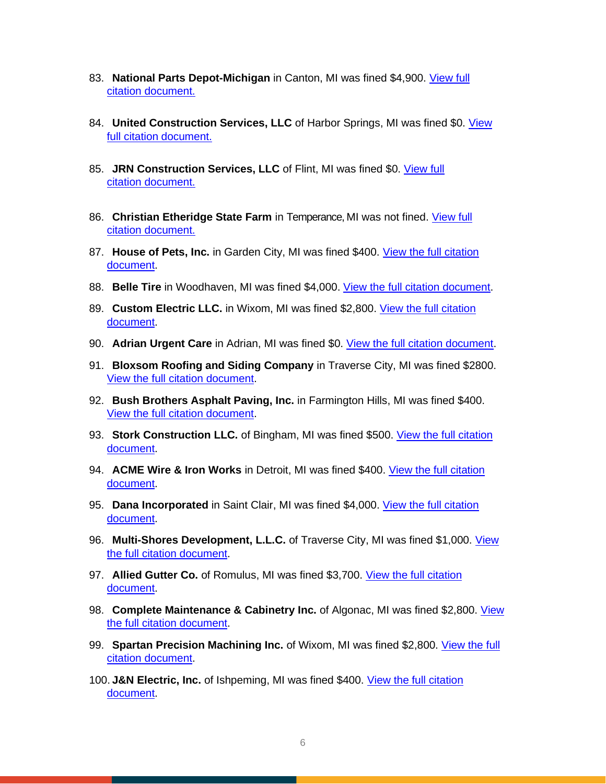- 83. **[National Parts Depot-Michigan](https://www.michigan.gov/documents/leo/National_Parts_Depot_715339_7.pdf)** in Canton, MI was fined \$4,900. View full [citation document.](https://www.michigan.gov/documents/leo/National_Parts_Depot_715339_7.pdf)
- 84. **[United Construction Services, LLC](https://www.michigan.gov/documents/leo/Final_-_United_Construction_Services_LLC_-_1502724_-_Covid_Citation_715351_7.pdf)** of Harbor Springs, MI was fined \$0. View [full citation](https://www.michigan.gov/documents/leo/Final_-_United_Construction_Services_LLC_-_1502724_-_Covid_Citation_715351_7.pdf) document.
- 85. **[JRN Construction Services, LLC](https://www.michigan.gov/documents/leo/Final_-_JRN_Construction_Services_LLC_-_1499735_-_Covid_Citation_715353_7.pdf)** of Flint, MI was fined \$0. View full [citation document.](https://www.michigan.gov/documents/leo/Final_-_JRN_Construction_Services_LLC_-_1499735_-_Covid_Citation_715353_7.pdf)
- 86. **Christian Etheridge State Farm** in Temperance, MI was not fined. [View full](https://www.michigan.gov/documents/leo/Citations_002_715359_7.pdf)  [citation](https://www.michigan.gov/documents/leo/Citations_002_715359_7.pdf) [document.](https://www.michigan.gov/documents/leo/Citations_002_715359_7.pdf)
- 87. **House of Pets, Inc.** in Garden City, MI was fined \$400. [View the full citation](https://www.michigan.gov/documents/leo/Citation_House_of_Pets_Inc._715486_7.pdf)  [document.](https://www.michigan.gov/documents/leo/Citation_House_of_Pets_Inc._715486_7.pdf)
- 88. **Belle Tire** in Woodhaven, MI was fined \$4,000. [View the full citation document.](https://www.michigan.gov/documents/leo/citations-1507293-Belle_Tire_716673_7.pdf)
- 89. **Custom Electric LLC.** in Wixom, MI was fined \$2,800. [View the full citation](https://www.michigan.gov/documents/leo/Custom_Electric_LLC_716680_7.pdf)  [document.](https://www.michigan.gov/documents/leo/Custom_Electric_LLC_716680_7.pdf)
- 90. **Adrian Urgent Care** in Adrian, MI was fined \$0. [View the full citation document.](https://www.michigan.gov/documents/leo/Adrian_Urgent_Care_716685_7.pdf)
- 91. **Bloxsom Roofing and Siding Company** in Traverse City, MI was fined \$2800. [View the full citation document.](https://www.michigan.gov/documents/leo/Bloxsom_Roofing_and_Siding_716688_7.pdf)
- 92. **Bush Brothers Asphalt Paving, Inc.** in Farmington Hills, MI was fined \$400. [View the full citation document.](https://www.michigan.gov/documents/leo/Bush_Brothers_Asphalt_Paving_Inc_716694_7.pdf)
- 93. **Stork Construction LLC.** of Bingham, MI was fined \$500. View the full citation [document.](https://www.michigan.gov/documents/leo/Stork_Construction_LLC_716696_7.pdf)
- 94. **ACME Wire & Iron Works** in Detroit, MI was fined \$400. [View the full citation](https://www.michigan.gov/documents/leo/ACME_Wire__Iron_Works_716698_7.pdf)  [document.](https://www.michigan.gov/documents/leo/ACME_Wire__Iron_Works_716698_7.pdf)
- 95. **Dana Incorporated** in Saint Clair, MI was fined \$4,000. [View the full citation](https://www.michigan.gov/documents/leo/Dana_Incorporated_716700_7.pdf)  [document.](https://www.michigan.gov/documents/leo/Dana_Incorporated_716700_7.pdf)
- 96. **Multi-Shores Development, L.L.C.** of Traverse City, MI was fined \$1,000. [View](https://www.michigan.gov/documents/leo/Multi_-_Shores_Development_LLC_716712_7.pdf)  [the full citation document.](https://www.michigan.gov/documents/leo/Multi_-_Shores_Development_LLC_716712_7.pdf)
- 97. **Allied Gutter Co.** of Romulus, MI was fined \$3,700. [View the full citation](https://www.michigan.gov/documents/leo/Allied_Gutter_Co_716729_7.pdf)  [document.](https://www.michigan.gov/documents/leo/Allied_Gutter_Co_716729_7.pdf)
- 98. **Complete Maintenance & Cabinetry Inc.** of Algonac, MI was fined \$2,800. [View](https://www.michigan.gov/documents/leo/Complate_Maintenance__Cabinetry_Inc._716733_7.pdf)  [the full citation document.](https://www.michigan.gov/documents/leo/Complate_Maintenance__Cabinetry_Inc._716733_7.pdf)
- 99. **Spartan Precision Machining Inc.** of Wixom, MI was fined \$2,800. [View the full](https://www.michigan.gov/documents/leo/Spartan_Precision_Machining_716738_7.pdf)  [citation document.](https://www.michigan.gov/documents/leo/Spartan_Precision_Machining_716738_7.pdf)
- 100. **J&N Electric, Inc.** of Ishpeming, MI was fined \$400. [View the full citation](https://www.michigan.gov/documents/leo/JN_Electric_Inc._716741_7.pdf)  [document.](https://www.michigan.gov/documents/leo/JN_Electric_Inc._716741_7.pdf)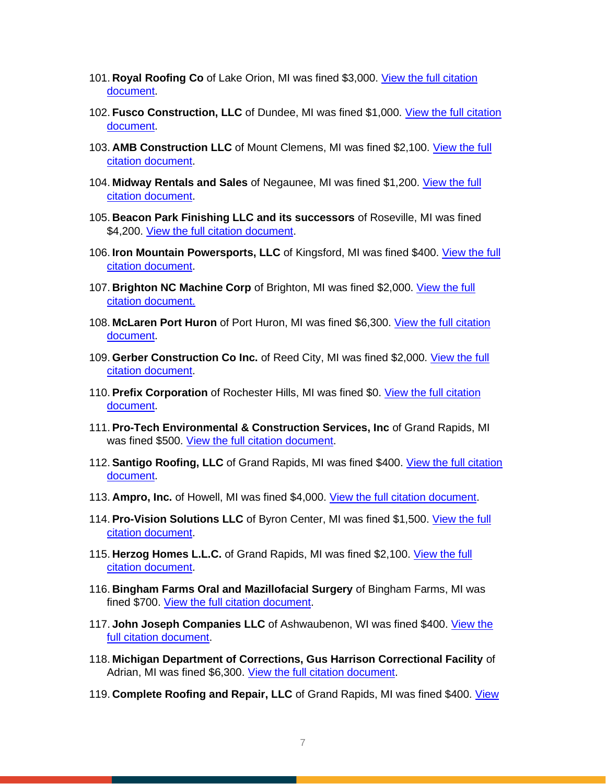- 101. **Royal Roofing Co** of Lake Orion, MI was fined \$3,000. [View the full citation](https://www.michigan.gov/documents/leo/Royal_Roofing_Co._716745_7.pdf)  [document.](https://www.michigan.gov/documents/leo/Royal_Roofing_Co._716745_7.pdf)
- 102. **Fusco Construction, LLC** of Dundee, MI was fined \$1,000. [View the full citation](https://www.michigan.gov/documents/leo/Fusco_Construction_LLC_716748_7.pdf)  [document.](https://www.michigan.gov/documents/leo/Fusco_Construction_LLC_716748_7.pdf)
- 103. **AMB Construction LLC** of Mount Clemens, MI was fined \$2,100. [View the full](https://www.michigan.gov/documents/leo/AMB_Construction_LLC_716749_7.pdf)  [citation document.](https://www.michigan.gov/documents/leo/AMB_Construction_LLC_716749_7.pdf)
- 104. **Midway Rentals and Sales** of Negaunee, MI was fined \$1,200. [View the full](https://www.michigan.gov/documents/leo/MIOSHA_COVID-19_Emergency_Rules_Citations__Midway_Rentals_and_Sales_717440_7.pdf) [citation document.](https://www.michigan.gov/documents/leo/MIOSHA_COVID-19_Emergency_Rules_Citations__Midway_Rentals_and_Sales_717440_7.pdf)
- 105. **Beacon Park Finishing LLC and its successors** of Roseville, MI was fined \$4,200. [View the full citation document.](https://www.michigan.gov/documents/leo/Beacon_Park_Finishing_717443_7.pdf)
- 106. **Iron Mountain Powersports, LLC** of Kingsford, MI was fined \$400. [View the full](https://www.michigan.gov/documents/leo/Iron_Mountain_Powersports_717446_7.pdf)  [citation document.](https://www.michigan.gov/documents/leo/Iron_Mountain_Powersports_717446_7.pdf)
- 107. **Brighton NC Machine Corp** of Brighton, MI was fined \$2,000. [View the full](https://www.michigan.gov/documents/leo/Brighton_NC_Machine_Corp._717449_7.pdf)  [citation document.](https://www.michigan.gov/documents/leo/Brighton_NC_Machine_Corp._717449_7.pdf)
- 108. **McLaren Port Huron** of Port Huron, MI was fined \$6,300. [View the full citation](https://www.michigan.gov/documents/leo/McLaren_Port_Huron_Hospital_717452_7.pdf)  [document.](https://www.michigan.gov/documents/leo/McLaren_Port_Huron_Hospital_717452_7.pdf)
- 109. **Gerber Construction Co Inc.** of Reed City, MI was fined \$2,000. [View the full](https://www.michigan.gov/documents/leo/Gerber_Construction_717456_7.pdf)  [citation document.](https://www.michigan.gov/documents/leo/Gerber_Construction_717456_7.pdf)
- 110. **Prefix Corporation** of Rochester Hills, MI was fined \$0. [View the full citation](https://www.michigan.gov/documents/leo/MIOSHA_COVID-19_Emergency_Rules_Citations__Prefix_Corporation_717441_7.pdf)  [document.](https://www.michigan.gov/documents/leo/MIOSHA_COVID-19_Emergency_Rules_Citations__Prefix_Corporation_717441_7.pdf)
- 111. **Pro-Tech Environmental & Construction Services, Inc** of Grand Rapids, MI was fined \$500. [View the full citation document.](https://www.michigan.gov/documents/leo/Pro-Tech_Environmental_717444_7.pdf)
- 112. **Santigo Roofing, LLC** of Grand Rapids, MI was fined \$400. [View the full citation](https://www.michigan.gov/documents/leo/Santigo_Roofing_717447_7.pdf)  [document.](https://www.michigan.gov/documents/leo/Santigo_Roofing_717447_7.pdf)
- 113. **Ampro, Inc.** of Howell, MI was fined \$4,000. [View the full citation document.](https://www.michigan.gov/documents/leo/Ampro_717450_7.pdf)
- 114. **Pro-Vision Solutions LLC** of Byron Center, MI was fined \$1,500. [View the full](https://www.michigan.gov/documents/leo/Pro-Vision_Solutions_717454_7.pdf)  [citation document.](https://www.michigan.gov/documents/leo/Pro-Vision_Solutions_717454_7.pdf)
- 115. **Herzog Homes L.L.C.** of Grand Rapids, MI was fined \$2,100. [View the full](https://www.michigan.gov/documents/leo/Herzog_Homes_717457_7.pdf)  [citation document.](https://www.michigan.gov/documents/leo/Herzog_Homes_717457_7.pdf)
- 116. **Bingham Farms Oral and Mazillofacial Surgery** of Bingham Farms, MI was fined \$700. [View the full citation document.](https://www.michigan.gov/documents/leo/Bingham_Farms_Oral_and_Maxillofacial_Surgery_717442_7.pdf)
- 117. **John Joseph Companies LLC** of Ashwaubenon, WI was fined \$400. [View the](https://www.michigan.gov/documents/leo/John_Joseph_Companies_717445_7.pdf)  [full citation document.](https://www.michigan.gov/documents/leo/John_Joseph_Companies_717445_7.pdf)
- 118. **Michigan Department of Corrections, Gus Harrison Correctional Facility** of Adrian, MI was fined \$6,300. [View the full citation document.](https://www.michigan.gov/documents/leo/Michigan_Department_of_Corrections_-_Gus_Harrison_Correctional_Facility_717451_7.pdf)
- 119. **Complete Roofing and Repair, LLC** of Grand Rapids, MI was fined \$400. [View](https://www.michigan.gov/documents/leo/Complete_Roofing_and_Repair_717455_7.pdf)